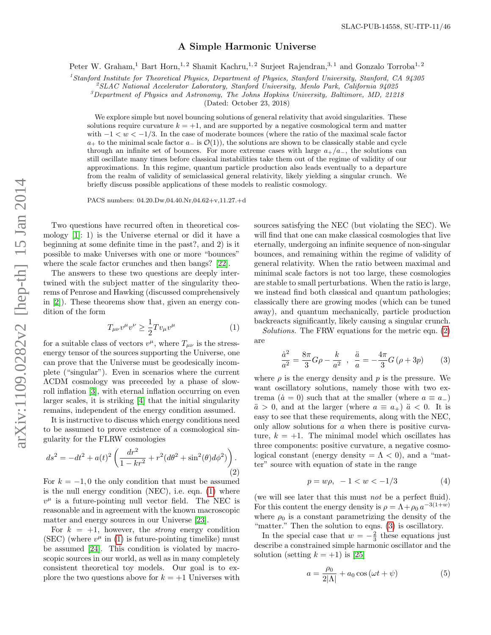## A Simple Harmonic Universe

Peter W. Graham,<sup>1</sup> Bart Horn,<sup>1, 2</sup> Shamit Kachru,<sup>1, 2</sup> Surjeet Rajendran,<sup>3, 1</sup> and Gonzalo Torroba<sup>1, 2</sup>

 $<sup>1</sup> Stanford Institute for Theoretical Physics, Department of Physics, Stanford University, Stanford, CA 94305$ </sup>

 $^{2}$ SLAC National Accelerator Laboratory, Stanford University, Menlo Park, California 94025

 ${}^{3}$ Department of Physics and Astronomy, The Johns Hopkins University, Baltimore, MD, 21218

(Dated: October 23, 2018)

We explore simple but novel bouncing solutions of general relativity that avoid singularities. These solutions require curvature  $k = +1$ , and are supported by a negative cosmological term and matter with  $-1 < w < -1/3$ . In the case of moderate bounces (where the ratio of the maximal scale factor  $a_+$  to the minimal scale factor  $a_-\text{ is } \mathcal{O}(1)$ , the solutions are shown to be classically stable and cycle through an infinite set of bounces. For more extreme cases with large  $a_{+}/a_{-}$ , the solutions can still oscillate many times before classical instabilities take them out of the regime of validity of our approximations. In this regime, quantum particle production also leads eventually to a departure from the realm of validity of semiclassical general relativity, likely yielding a singular crunch. We briefly discuss possible applications of these models to realistic cosmology.

PACS numbers: 04.20.Dw,04.40.Nr,04.62+v,11.27.+d

Two questions have recurred often in theoretical cosmology [\[1\]](#page-4-0): 1) is the Universe eternal or did it have a beginning at some definite time in the past?, and 2) is it possible to make Universes with one or more "bounces" where the scale factor crunches and then bangs? [\[22\]](#page-4-1).

The answers to these two questions are deeply intertwined with the subject matter of the singularity theorems of Penrose and Hawking (discussed comprehensively in [\[2\]](#page-4-2)). These theorems show that, given an energy condition of the form

<span id="page-0-0"></span>
$$
T_{\mu\nu}v^{\mu}v^{\nu} \ge \frac{1}{2}Tv_{\mu}v^{\mu} \tag{1}
$$

for a suitable class of vectors  $v^{\mu}$ , where  $T_{\mu\nu}$  is the stressenergy tensor of the sources supporting the Universe, one can prove that the Universe must be geodesically incomplete ("singular"). Even in scenarios where the current ΛCDM cosmology was preceeded by a phase of slowroll inflation [\[3\]](#page-4-3), with eternal inflation occurring on even larger scales, it is striking [\[4\]](#page-4-4) that the initial singularity remains, independent of the energy condition assumed.

It is instructive to discuss which energy conditions need to be assumed to prove existence of a cosmological singularity for the FLRW cosmologies

<span id="page-0-1"></span>
$$
ds^{2} = -dt^{2} + a(t)^{2} \left( \frac{dr^{2}}{1 - kr^{2}} + r^{2} (d\theta^{2} + \sin^{2}(\theta) d\phi^{2}) \right).
$$
\n(2)

For  $k = -1, 0$  the only condition that must be assumed is the null energy condition (NEC), i.e. eqn. [\(1\)](#page-0-0) where  $v^{\mu}$  is a future-pointing null vector field. The NEC is reasonable and in agreement with the known macroscopic matter and energy sources in our Universe [\[23\]](#page-4-5).

For  $k = +1$ , however, the *strong* energy condition (SEC) (where  $v^{\mu}$  in [\(1\)](#page-0-0) is future-pointing timelike) must be assumed [\[24\]](#page-4-6). This condition is violated by macroscopic sources in our world, as well as in many completely consistent theoretical toy models. Our goal is to explore the two questions above for  $k = +1$  Universes with sources satisfying the NEC (but violating the SEC). We will find that one can make classical cosmologies that live eternally, undergoing an infinite sequence of non-singular bounces, and remaining within the regime of validity of general relativity. When the ratio between maximal and minimal scale factors is not too large, these cosmologies are stable to small perturbations. When the ratio is large, we instead find both classical and quantum pathologies; classically there are growing modes (which can be tuned away), and quantum mechanically, particle production backreacts significantly, likely causing a singular crunch.

Solutions. The FRW equations for the metric eqn. [\(2\)](#page-0-1) are

<span id="page-0-2"></span>
$$
\frac{\dot{a}^2}{a^2} = \frac{8\pi}{3}G\rho - \frac{k}{a^2} \ , \ \frac{\ddot{a}}{a} = -\frac{4\pi}{3}G\left(\rho + 3p\right) \tag{3}
$$

where  $\rho$  is the energy density and p is the pressure. We want oscillatory solutions, namely those with two extrema ( $\dot{a} = 0$ ) such that at the smaller (where  $a \equiv a_-\$ )  $\ddot{a} > 0$ , and at the larger (where  $a \equiv a_+$ )  $\ddot{a} < 0$ . It is easy to see that these requirements, along with the NEC, only allow solutions for a when there is positive curvature,  $k = +1$ . The minimal model which oscillates has three components: positive curvature, a negative cosmological constant (energy density  $=\Lambda < 0$ ), and a "matter" source with equation of state in the range

<span id="page-0-4"></span>
$$
p = w\rho, -1 < w < -1/3 \tag{4}
$$

(we will see later that this must not be a perfect fluid). For this content the energy density is  $\rho = \Lambda + \rho_0 a^{-3(1+w)}$ where  $\rho_0$  is a constant parametrizing the density of the "matter." Then the solution to eqns. [\(3\)](#page-0-2) is oscillatory.

In the special case that  $w = -\frac{2}{3}$  these equations just describe a constrained simple harmonic oscillator and the solution (setting  $k = +1$ ) is [\[25\]](#page-4-7)

<span id="page-0-3"></span>
$$
a = \frac{\rho_0}{2|\Lambda|} + a_0 \cos(\omega t + \psi)
$$
 (5)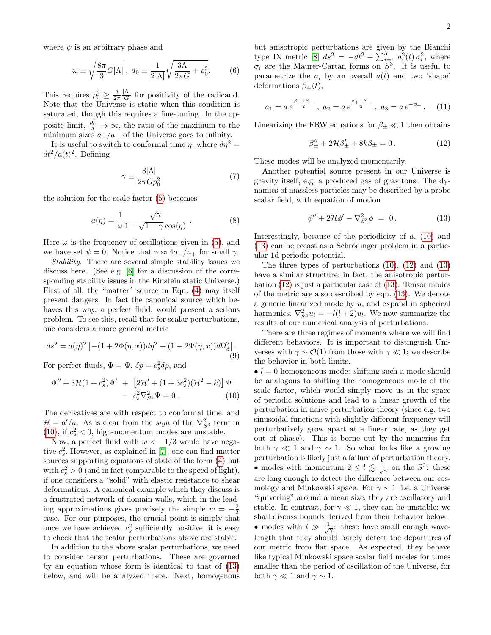where  $\psi$  is an arbitrary phase and

$$
\omega \equiv \sqrt{\frac{8\pi}{3}G|\Lambda|}, \ a_0 \equiv \frac{1}{2|\Lambda|} \sqrt{\frac{3\Lambda}{2\pi G} + \rho_0^2}.
$$
 (6)

This requires  $\rho_0^2 \geq \frac{3}{2\pi}$ |Λ|  $\frac{A}{G}$  for positivity of the radicand. Note that the Universe is static when this condition is saturated, though this requires a fine-tuning. In the opposite limit,  $\frac{\rho_0^2}{\Lambda} \to \infty$ , the ratio of the maximum to the minimum sizes  $a_{+}/a_{-}$  of the Universe goes to infinity.

It is useful to switch to conformal time  $\eta$ , where  $d\eta^2 =$  $dt^2/a(t)^2$ . Defining

$$
\gamma \equiv \frac{3|\Lambda|}{2\pi G\rho_0^2} \tag{7}
$$

the solution for the scale factor [\(5\)](#page-0-3) becomes

$$
a(\eta) = \frac{1}{\omega} \frac{\sqrt{\gamma}}{1 - \sqrt{1 - \gamma} \cos(\eta)}.
$$
 (8)

Here  $\omega$  is the frequency of oscillations given in [\(5\)](#page-0-3), and we have set  $\psi = 0$ . Notice that  $\gamma \approx 4a_{-}/a_{+}$  for small  $\gamma$ .

Stability. There are several simple stability issues we discuss here. (See e.g. [\[6\]](#page-4-8) for a discussion of the corresponding stability issues in the Einstein static Universe.) First of all, the "matter" source in Eqn. [\(4\)](#page-0-4) may itself present dangers. In fact the canonical source which behaves this way, a perfect fluid, would present a serious problem. To see this, recall that for scalar perturbations, one considers a more general metric

$$
ds^{2} = a(\eta)^{2} \left[ -(1 + 2\Phi(\eta, x))d\eta^{2} + (1 - 2\Psi(\eta, x))d\Omega_{3}^{2} \right].
$$
\n(9)

For perfect fluids,  $\Phi = \Psi$ ,  $\delta p = c_s^2 \delta \rho$ , and

<span id="page-1-0"></span>
$$
\Psi'' + 3\mathcal{H}(1 + c_s^2)\Psi' + [2\mathcal{H}' + (1 + 3c_s^2)(\mathcal{H}^2 - k)]\Psi - c_s^2\nabla_{S^3}^2\Psi = 0.
$$
 (10)

The derivatives are with respect to conformal time, and  $\mathcal{H} = a'/a$ . As is clear from the *sign* of the  $\nabla_{S^3}^2$  term in [\(10\)](#page-1-0), if  $c_s^2 < 0$ , high-momentum modes are unstable.

Now, a perfect fluid with  $w < -1/3$  would have negative  $c_s^2$ . However, as explained in [\[7\]](#page-4-9), one can find matter sources supporting equations of state of the form [\(4\)](#page-0-4) but with  $c_s^2 > 0$  (and in fact comparable to the speed of light), if one considers a "solid" with elastic resistance to shear deformations. A canonical example which they discuss is a frustrated network of domain walls, which in the leading approximations gives precisely the simple  $w = -\frac{2}{3}$ case. For our purposes, the crucial point is simply that once we have achieved  $c_s^2$  sufficiently positive, it is easy to check that the scalar perturbations above are stable.

In addition to the above scalar perturbations, we need to consider tensor perturbations. These are governed by an equation whose form is identical to that of [\(13\)](#page-1-1) below, and will be analyzed there. Next, homogenous but anisotropic perturbations are given by the Bianchi type IX metric [\[8\]](#page-4-10)  $ds^2 = -dt^2 + \sum_{i=1}^3 a_i^2(t) \sigma_i^2$ , where  $\sigma_i$  are the Maurer-Cartan forms on  $S^3$ . It is useful to parametrize the  $a_i$  by an overall  $a(t)$  and two 'shape' deformations  $\beta_{+}(t)$ ,

$$
a_1 = a e^{\frac{\beta_+ + \beta_-}{2}}
$$
,  $a_2 = a e^{\frac{\beta_+ - \beta_-}{2}}$ ,  $a_3 = a e^{-\beta_+}$ . (11)

Linearizing the FRW equations for  $\beta_{\pm} \ll 1$  then obtains

<span id="page-1-2"></span>
$$
\beta''_{\pm} + 2\mathcal{H}\beta'_{\pm} + 8k\beta_{\pm} = 0. \tag{12}
$$

These modes will be analyzed momentarily.

Another potential source present in our Universe is gravity itself, e.g. a produced gas of gravitons. The dynamics of massless particles may be described by a probe scalar field, with equation of motion

<span id="page-1-1"></span>
$$
\phi'' + 2\mathcal{H}\phi' - \nabla_{S^3}^2 \phi = 0. \tag{13}
$$

Interestingly, because of the periodicity of  $a$ , [\(10\)](#page-1-0) and  $(13)$  can be recast as a Schrödinger problem in a particular 1d periodic potential.

The three types of perturbations [\(10\)](#page-1-0), [\(12\)](#page-1-2) and [\(13\)](#page-1-1) have a similar structure; in fact, the anisotropic perturbation [\(12\)](#page-1-2) is just a particular case of [\(13\)](#page-1-1). Tensor modes of the metric are also described by eqn. [\(13\)](#page-1-1). We denote a generic linearized mode by  $u$ , and expand in spherical harmonics,  $\nabla_{S^3}^2 u_l = -l(l+2)u_l$ . We now summarize the results of our numerical analysis of perturbations.

There are three regimes of momenta where we will find different behaviors. It is important to distinguish Universes with  $\gamma \sim \mathcal{O}(1)$  from those with  $\gamma \ll 1$ ; we describe the behavior in both limits.

 $\bullet$   $l = 0$  homogeneous mode: shifting such a mode should be analogous to shifting the homogeneous mode of the scale factor, which would simply move us in the space of periodic solutions and lead to a linear growth of the perturbation in naive perturbation theory (since e.g. two sinusoidal functions with slightly different frequency will perturbatively grow apart at a linear rate, as they get out of phase). This is borne out by the numerics for both  $\gamma \ll 1$  and  $\gamma \sim 1$ . So what looks like a growing perturbation is likely just a failure of perturbation theory. • modes with momentum  $2 \leq l \leq \frac{1}{\sqrt{\gamma}}$  on the  $S^3$ : these are long enough to detect the difference between our cosmology and Minkowski space. For  $\gamma \sim 1$ , i.e. a Universe "quivering" around a mean size, they are oscillatory and stable. In contrast, for  $\gamma \ll 1$ , they can be unstable; we shall discuss bounds derived from their behavior below. • modes with  $l \gg \frac{1}{\sqrt{\gamma}}$ : these have small enough wavelength that they should barely detect the departures of our metric from flat space. As expected, they behave like typical Minkowski space scalar field modes for times smaller than the period of oscillation of the Universe, for both  $\gamma \ll 1$  and  $\gamma \sim 1$ .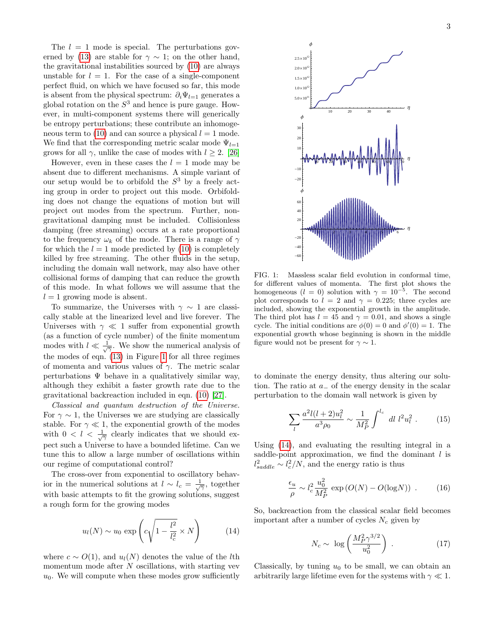The  $l = 1$  mode is special. The perturbations gov-erned by [\(13\)](#page-1-1) are stable for  $\gamma \sim 1$ ; on the other hand, the gravitational instabilities sourced by [\(10\)](#page-1-0) are always unstable for  $l = 1$ . For the case of a single-component perfect fluid, on which we have focused so far, this mode is absent from the physical spectrum:  $\partial_i \Psi_{l=1}$  generates a global rotation on the  $S<sup>3</sup>$  and hence is pure gauge. However, in multi-component systems there will generically be entropy perturbations; these contribute an inhomoge-neous term to [\(10\)](#page-1-0) and can source a physical  $l = 1$  mode. We find that the corresponding metric scalar mode  $\Psi_{l=1}$ grows for all  $\gamma$ , unlike the case of modes with  $l \geq 2$ . [\[26\]](#page-4-11)

However, even in these cases the  $l = 1$  mode may be absent due to different mechanisms. A simple variant of our setup would be to orbifold the  $S^3$  by a freely acting group in order to project out this mode. Orbifolding does not change the equations of motion but will project out modes from the spectrum. Further, nongravitational damping must be included. Collisionless damping (free streaming) occurs at a rate proportional to the frequency  $\omega_k$  of the mode. There is a range of  $\gamma$ for which the  $l = 1$  mode predicted by [\(10\)](#page-1-0) is completely killed by free streaming. The other fluids in the setup, including the domain wall network, may also have other collisional forms of damping that can reduce the growth of this mode. In what follows we will assume that the  $l = 1$  growing mode is absent.

To summarize, the Universes with  $\gamma \sim 1$  are classically stable at the linearized level and live forever. The Universes with  $\gamma \ll 1$  suffer from exponential growth (as a function of cycle number) of the finite momentum modes with  $l \ll \frac{1}{\sqrt{\gamma}}$ . We show the numerical analysis of the modes of eqn. [\(13\)](#page-1-1) in Figure [1](#page-2-0) for all three regimes of momenta and various values of  $\gamma$ . The metric scalar perturbations  $\Psi$  behave in a qualitatively similar way, although they exhibit a faster growth rate due to the gravitational backreaction included in eqn. [\(10\)](#page-1-0) [\[27\]](#page-4-12).

Classical and quantum destruction of the Universe. For  $\gamma \sim 1$ , the Universes we are studying are classically stable. For  $\gamma \ll 1$ , the exponential growth of the modes with  $0 < l < \frac{1}{\sqrt{\gamma}}$  clearly indicates that we should expect such a Universe to have a bounded lifetime. Can we tune this to allow a large number of oscillations within our regime of computational control?

The cross-over from exponential to oscillatory behavior in the numerical solutions at  $l \sim l_c = \frac{1}{\sqrt{2}}$ , together with basic attempts to fit the growing solutions, suggest a rough form for the growing modes

<span id="page-2-1"></span>
$$
u_l(N) \sim u_0 \exp\left(c\sqrt{1 - \frac{l^2}{l_c^2}} \times N\right) \tag{14}
$$

where  $c \sim O(1)$ , and  $u_l(N)$  denotes the value of the *l*th momentum mode after  $N$  oscillations, with starting vev  $u_0$ . We will compute when these modes grow sufficiently



<span id="page-2-0"></span>FIG. 1: Massless scalar field evolution in conformal time, for different values of momenta. The first plot shows the homogeneous  $(l = 0)$  solution with  $\gamma = 10^{-5}$ . The second plot corresponds to  $l = 2$  and  $\gamma = 0.225$ ; three cycles are included, showing the exponential growth in the amplitude. The third plot has  $l = 45$  and  $\gamma = 0.01$ , and shows a single cycle. The initial conditions are  $\phi(0) = 0$  and  $\phi'(0) = 1$ . The exponential growth whose beginning is shown in the middle figure would not be present for  $\gamma \sim 1$ .

to dominate the energy density, thus altering our solution. The ratio at a<sup>−</sup> of the energy density in the scalar perturbation to the domain wall network is given by

$$
\sum_{l} \frac{a^2 l(l+2) u_l^2}{a^3 \rho_0} \sim \frac{1}{M_P^2} \int^{l_c} dl \ l^2 u_l^2 \ . \tag{15}
$$

Using [\(14\)](#page-2-1), and evaluating the resulting integral in a saddle-point approximation, we find the dominant  $l$  is  $l_{saddle}^2 \sim l_c^2/N$ , and the energy ratio is thus

$$
\frac{\epsilon_u}{\rho} \sim l_c^2 \frac{u_0^2}{M_P^2} \exp\left(O(N) - O(\log N)\right) \,. \tag{16}
$$

So, backreaction from the classical scalar field becomes important after a number of cycles  $N_c$  given by

$$
N_c \sim \log\left(\frac{M_P^2 \gamma^{3/2}}{u_0^2}\right) \ . \tag{17}
$$

Classically, by tuning  $u_0$  to be small, we can obtain an arbitrarily large lifetime even for the systems with  $\gamma \ll 1$ .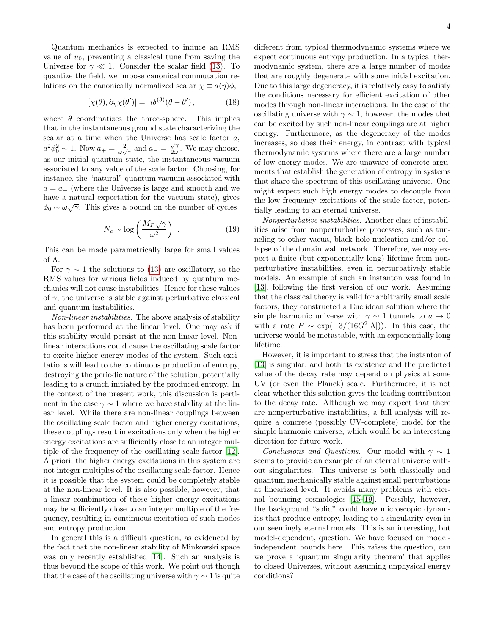Quantum mechanics is expected to induce an RMS value of  $u_0$ , preventing a classical tune from saving the Universe for  $\gamma \ll 1$ . Consider the scalar field [\(13\)](#page-1-1). To quantize the field, we impose canonical commutation relations on the canonically normalized scalar  $\chi \equiv a(\eta)\phi$ ,

$$
[\chi(\theta), \partial_{\eta} \chi(\theta')] = i\delta^{(3)}(\theta - \theta'), \qquad (18)
$$

where  $\theta$  coordinatizes the three-sphere. This implies that in the instantaneous ground state characterizing the scalar at a time when the Universe has scale factor a,  $a^2\phi_0^2 \sim 1$ . Now  $a_+ = \frac{2}{\omega\sqrt{\gamma}}$  and  $a_- = \frac{\sqrt{\gamma}}{2\omega}$  $\frac{\sqrt{\gamma}}{2\omega}$ . We may choose, as our initial quantum state, the instantaneous vacuum associated to any value of the scale factor. Choosing, for instance, the "natural" quantum vacuum associated with  $a = a_+$  (where the Universe is large and smooth and we have a natural expectation for the vacuum state), gives  $\phi_0 \sim \omega \sqrt{\gamma}$ . This gives a bound on the number of cycles

$$
N_c \sim \log\left(\frac{M_P\sqrt{\gamma}}{\omega^2}\right) \ . \tag{19}
$$

This can be made parametrically large for small values of Λ.

For  $\gamma \sim 1$  the solutions to [\(13\)](#page-1-1) are oscillatory, so the RMS values for various fields induced by quantum mechanics will not cause instabilities. Hence for these values of  $\gamma$ , the universe is stable against perturbative classical and quantum instabilities.

Non-linear instabilities. The above analysis of stability has been performed at the linear level. One may ask if this stability would persist at the non-linear level. Nonlinear interactions could cause the oscillating scale factor to excite higher energy modes of the system. Such excitations will lead to the continuous production of entropy, destroying the periodic nature of the solution, potentially leading to a crunch initiated by the produced entropy. In the context of the present work, this discussion is pertinent in the case  $\gamma \sim 1$  where we have stability at the linear level. While there are non-linear couplings between the oscillating scale factor and higher energy excitations, these couplings result in excitations only when the higher energy excitations are sufficiently close to an integer multiple of the frequency of the oscillating scale factor [\[12\]](#page-4-13). A priori, the higher energy excitations in this system are not integer multiples of the oscillating scale factor. Hence it is possible that the system could be completely stable at the non-linear level. It is also possible, however, that a linear combination of these higher energy excitations may be sufficiently close to an integer multiple of the frequency, resulting in continuous excitation of such modes and entropy production.

In general this is a difficult question, as evidenced by the fact that the non-linear stability of Minkowski space was only recently established [\[14\]](#page-4-14). Such an analysis is thus beyond the scope of this work. We point out though that the case of the oscillating universe with  $\gamma \sim 1$  is quite

different from typical thermodynamic systems where we expect continuous entropy production. In a typical thermodynamic system, there are a large number of modes that are roughly degenerate with some initial excitation. Due to this large degeneracy, it is relatively easy to satisfy the conditions necessary for efficient excitation of other modes through non-linear interactions. In the case of the oscillating universe with  $\gamma \sim 1$ , however, the modes that can be excited by such non-linear couplings are at higher energy. Furthermore, as the degeneracy of the modes increases, so does their energy, in contrast with typical thermodynamic systems where there are a large number of low energy modes. We are unaware of concrete arguments that establish the generation of entropy in systems that share the spectrum of this oscillating universe. One might expect such high energy modes to decouple from the low frequency excitations of the scale factor, potentially leading to an eternal universe.

Nonperturbative instabilities. Another class of instabilities arise from nonperturbative processes, such as tunneling to other vacua, black hole nucleation and/or collapse of the domain wall network. Therefore, we may expect a finite (but exponentially long) lifetime from nonperturbative instabilities, even in perturbatively stable models. An example of such an instanton was found in [\[13\]](#page-4-15), following the first version of our work. Assuming that the classical theory is valid for arbitrarily small scale factors, they constructed a Euclidean solution where the simple harmonic universe with  $\gamma \sim 1$  tunnels to  $a \to 0$ with a rate  $P \sim \exp(-3/(16G^2|\Lambda|))$ . In this case, the universe would be metastable, with an exponentially long lifetime.

However, it is important to stress that the instanton of [\[13\]](#page-4-15) is singular, and both its existence and the predicted value of the decay rate may depend on physics at some UV (or even the Planck) scale. Furthermore, it is not clear whether this solution gives the leading contribution to the decay rate. Although we may expect that there are nonperturbative instabilities, a full analysis will require a concrete (possibly UV-complete) model for the simple harmonic universe, which would be an interesting direction for future work.

Conclusions and Questions. Our model with  $\gamma \sim 1$ seems to provide an example of an eternal universe without singularities. This universe is both classically and quantum mechanically stable against small perturbations at linearized level. It avoids many problems with eternal bouncing cosmologies [\[15](#page-4-16)[–19\]](#page-4-17). Possibly, however, the background "solid" could have microscopic dynamics that produce entropy, leading to a singularity even in our seemingly eternal models. This is an interesting, but model-dependent, question. We have focused on modelindependent bounds here. This raises the question, can we prove a 'quantum singularity theorem' that applies to closed Universes, without assuming unphysical energy conditions?